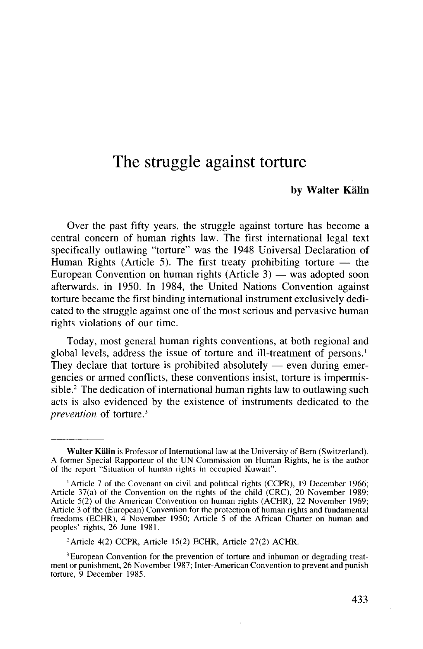# The struggle against torture

#### **by Walter Kalin**

Over the past fifty years, the struggle against torture has become a central concern of human rights law. The first international legal text specifically outlawing "torture" was the 1948 Universal Declaration of Human Rights (Article 5). The first treaty prohibiting torture — the European Convention on human rights (Article 3) — was adopted soon afterwards, in 1950. In 1984, the United Nations Convention against torture became the first binding international instrument exclusively dedicated to the struggle against one of the most serious and pervasive human rights violations of our time.

Today, most general human rights conventions, at both regional and global levels, address the issue of torture and ill-treatment of persons.<sup>1</sup> They declare that torture is prohibited absolutely  $-$  even during emergencies or armed conflicts, these conventions insist, torture is impermissible.<sup>2</sup> The dedication of international human rights law to outlawing such acts is also evidenced by the existence of instruments dedicated to the *prevention* of torture.<sup>3</sup>

**Walter Kalin** is Professor of International law at the University of Bern (Switzerland). A former Special Rapporteur of the UN Commission on Human Rights, he is the author of the report "Situation of human rights in occupied Kuwait".

<sup>&</sup>lt;sup>1</sup> Article 7 of the Covenant on civil and political rights (CCPR), 19 December 1966; Article 37(a) of the Convention on the rights of the child (CRC), 20 November 1989; Article 5(2) of the American Convention on human rights (ACHR), 22 November 1969; Article 3 of the (European) Convention for the protection of human rights and fundamental freedoms (ECHR), 4 November 1950; Article 5 of the African Charter on human and peoples' rights, 26 June 1981.

<sup>2</sup> Article 4(2) CCPR, Article 15(2) ECHR, Article 27(2) ACHR.

<sup>&</sup>lt;sup>3</sup> European Convention for the prevention of torture and inhuman or degrading treatment or punishment, 26 November 1987; Inter-American Convention to prevent and punish torture, 9 December 1985.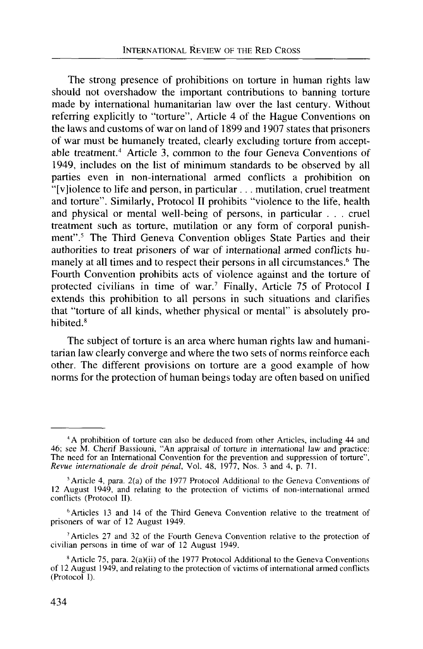The strong presence of prohibitions on torture in human rights law should not overshadow the important contributions to banning torture made by international humanitarian law over the last century. Without referring explicitly to "torture", Article 4 of the Hague Conventions on the laws and customs of war on land of 1899 and 1907 states that prisoners of war must be humanely treated, clearly excluding torture from acceptable treatment.<sup>4</sup> Article 3, common to the four Geneva Conventions of 1949, includes on the list of minimum standards to be observed by all parties even in non-international armed conflicts a prohibition on "[violence to life and person, in particular . .. mutilation, cruel treatment and torture". Similarly, Protocol II prohibits "violence to the life, health and physical or mental well-being of persons, in particular . . . cruel treatment such as torture, mutilation or any form of corporal punishment".<sup>5</sup> The Third Geneva Convention obliges State Parties and their authorities to treat prisoners of war of international armed conflicts humanely at all times and to respect their persons in all circumstances.<sup>6</sup> The Fourth Convention prohibits acts of violence against and the torture of protected civilians in time of war.<sup>7</sup> Finally, Article 75 of Protocol I extends this prohibition to all persons in such situations and clarifies that "torture of all kinds, whether physical or mental" is absolutely prohibited.<sup>8</sup>

The subject of torture is an area where human rights law and humanitarian law clearly converge and where the two sets of norms reinforce each other. The different provisions on torture are a good example of how norms for the protection of human beings today are often based on unified

6 Articles 13 and 14 of the Third Geneva Convention relative to the treatment of prisoners of war of 12 August 1949.

7 Articles 27 and 32 of the Fourth Geneva Convention relative to the protection of civilian persons in time of war of 12 August 1949.

<sup>4</sup> A prohibition of torture can also be deduced from other Articles, including 44 and 46; see M. Cherif Bassiouni, "An appraisal of torture in international law and practice: The need for an International Convention for the prevention and suppression of torture", *Revue Internationale de droit penal,* Vol. 48, 1977, Nos. 3 and 4, p. 71.

<sup>5</sup> Article 4, para. 2(a) of the 1977 Protocol Additional to the Geneva Conventions of 12 August 1949, and relating to the protection of victims of non-international armed conflicts (Protocol II).

<sup>8</sup> Article 75, para. 2(a)(ii) of the 1977 Protocol Additional to the Geneva Conventions of 12 August 1949, and relating to the protection of victims of international armed conflicts (Protocol I).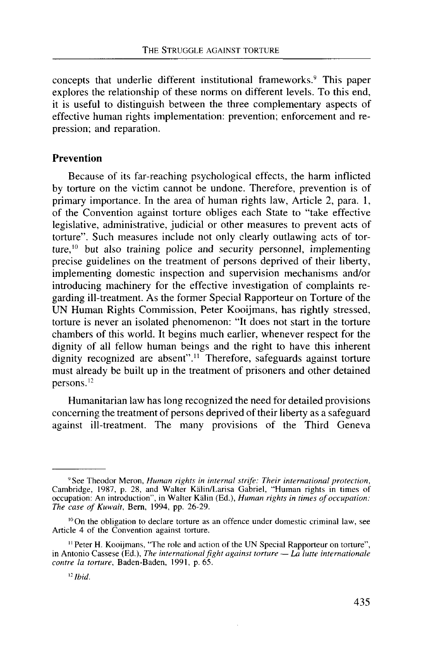concepts that underlie different institutional frameworks.<sup>9</sup> This paper explores the relationship of these norms on different levels. To this end, it is useful to distinguish between the three complementary aspects of effective human rights implementation: prevention; enforcement and repression; and reparation.

## **Prevention**

Because of its far-reaching psychological effects, the harm inflicted by torture on the victim cannot be undone. Therefore, prevention is of primary importance. In the area of human rights law, Article 2, para. 1, of the Convention against torture obliges each State to "take effective legislative, administrative, judicial or other measures to prevent acts of torture". Such measures include not only clearly outlawing acts of torture,<sup>10</sup> but also training police and security personnel, implementing precise guidelines on the treatment of persons deprived of their liberty, implementing domestic inspection and supervision mechanisms and/or introducing machinery for the effective investigation of complaints regarding ill-treatment. As the former Special Rapporteur on Torture of the UN Human Rights Commission, Peter Kooijmans, has rightly stressed, torture is never an isolated phenomenon: "It does not start in the torture chambers of this world. It begins much earlier, whenever respect for the dignity of all fellow human beings and the right to have this inherent dignity recognized are absent"." Therefore, safeguards against torture must already be built up in the treatment of prisoners and other detained persons.<sup>12</sup>

Humanitarian law has long recognized the need for detailed provisions concerning the treatment of persons deprived of their liberty as a safeguard against ill-treatment. The many provisions of the Third Geneva

<sup>9</sup> See Theodor Meron, *Human rights in internal strife: Their international protection,* Cambridge, 1987, p. 28, and Walter Kalin/Larisa Gabriel, "Human rights in times of occupation: An introduction", in Walter Kalin (Ed.), *Human rights in times of occupation: The case of Kuwait,* Bern, 1994, pp. 26-29.

<sup>&</sup>lt;sup>10</sup> On the obligation to declare torture as an offence under domestic criminal law, see Article 4 of the Convention against torture.

<sup>&</sup>quot;Peter H. Kooijmans, "The role and action of the UN Special Rapporteur on torture", in Antonio Cassese (Ed.), *The international fight against torture* — *La lutte internationale contre la torture,* Baden-Baden, 1991, p. 65.

*n Ibid.*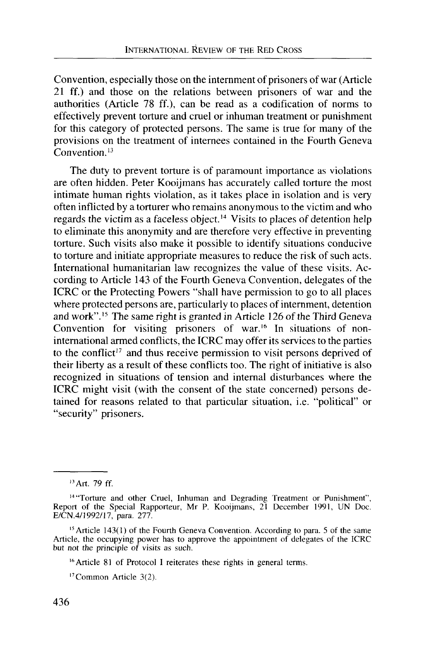Convention, especially those on the internment of prisoners of war (Article 21 ff.) and those on the relations between prisoners of war and the authorities (Article 78 ff.), can be read as a codification of norms to effectively prevent torture and cruel or inhuman treatment or punishment for this category of protected persons. The same is true for many of the provisions on the treatment of internees contained in the Fourth Geneva Convention.<sup>13</sup>

The duty to prevent torture is of paramount importance as violations are often hidden. Peter Kooijmans has accurately called torture the most intimate human rights violation, as it takes place in isolation and is very often inflicted by a torturer who remains anonymous to the victim and who regards the victim as a faceless object.<sup>14</sup> Visits to places of detention help to eliminate this anonymity and are therefore very effective in preventing torture. Such visits also make it possible to identify situations conducive to torture and initiate appropriate measures to reduce the risk of such acts. International humanitarian law recognizes the value of these visits. According to Article 143 of the Fourth Geneva Convention, delegates of the ICRC or the Protecting Powers "shall have permission to go to all places where protected persons are, particularly to places of internment, detention and work".<sup>15</sup> The same right is granted in Article 126 of the Third Geneva Convention for visiting prisoners of war.<sup>16</sup> In situations of noninternational armed conflicts, the ICRC may offer its services to the parties to the conflict<sup>17</sup> and thus receive permission to visit persons deprived of their liberty as a result of these conflicts too. The right of initiative is also recognized in situations of tension and internal disturbances where the ICRC might visit (with the consent of the state concerned) persons detained for reasons related to that particular situation, i.e. "political" or "security" prisoners.

<sup>15</sup> Article 143(1) of the Fourth Geneva Convention. According to para. 5 of the same Article, the occupying power has to approve the appointment of delegates of the ICRC but not the principle of visits as such.

<sup>16</sup> Article 81 of Protocol I reiterates these rights in general terms.

17Common Article 3(2).

<sup>&</sup>lt;sup>13</sup> Art. 79 ff.

<sup>&</sup>lt;sup>14</sup> "Torture and other Cruel, Inhuman and Degrading Treatment or Punishment", Report of the Special Rapporteur, Mr P. Kooijmans, 21 December 1991, UN Doc. E/CN.4/1992/17, para. 277.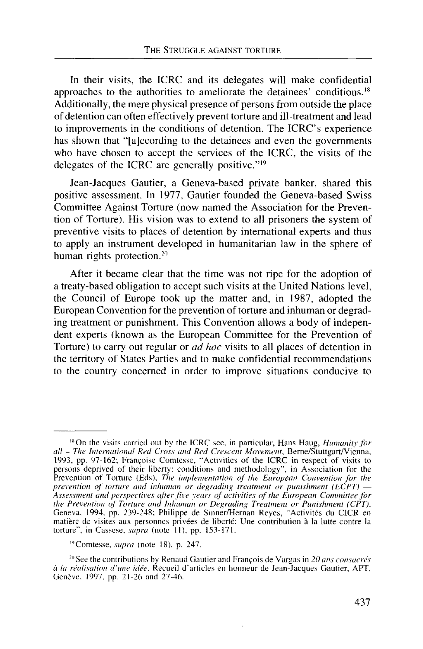In their visits, the ICRC and its delegates will make confidential approaches to the authorities to ameliorate the detainees' conditions.<sup>18</sup> Additionally, the mere physical presence of persons from outside the place of detention can often effectively prevent torture and ill-treatment and lead to improvements in the conditions of detention. The ICRC's experience has shown that "[alccording to the detainees and even the governments who have chosen to accept the services of the ICRC, the visits of the delegates of the ICRC are generally positive."<sup>19</sup>

Jean-Jacques Gautier, a Geneva-based private banker, shared this positive assessment. In 1977, Gautier founded the Geneva-based Swiss Committee Against Torture (now named the Association for the Prevention of Torture). His vision was to extend to all prisoners the system of preventive visits to places of detention by international experts and thus to apply an instrument developed in humanitarian law in the sphere of human rights protection.<sup>20</sup>

After it became clear that the time was not ripe for the adoption of a treaty-based obligation to accept such visits at the United Nations level, the Council of Europe took up the matter and, in 1987, adopted the European Convention for the prevention of torture and inhuman or degrading treatment or punishment. This Convention allows a body of independent experts (known as the European Committee for the Prevention of Torture) to carry out regular or *ad hoc* visits to all places of detention in the territory of States Parties and to make confidential recommendations to the country concerned in order to improve situations conducive to

<sup>&</sup>lt;sup>18</sup> On the visits carried out by the ICRC see, in particular, Hans Haug, *Humanity for all* - *The International Red Cross and Red Crescent Movement,* Berne/Stuttgart/Vienna, 1993, pp. 97-162; Francoise Comtesse, "Activities of the ICRC in respect of visits to persons deprived of their liberty: conditions and methodology", in Association for the Prevention of Torture (Eds), *The implementation of the European Convention for the prevention of torture and inhuman or degrading treatment or punishment (ECPT)* — *Assessment and perspectives after five years of activities of the European Committee for the Prevention of Torture and Inhuman or Degrading Treatment or Punishment (CPT),* Geneva, 1994, pp. 239-248; Philippe de Sinner/Hernan Reyes, "Activites du CICR en matiere de visites aux personnes privees de liberte: Une contribution a la lutte contre la torture", in Cassese, *supra* (note 11), pp. 153-171.

<sup>&</sup>quot;Comtesse, *supra* (note 18), p. 247.

<sup>:</sup> " See the contributions by Renaud Gautier and Francois de Vargas in *20 ans consacres a la realisation d'une idee,* Recueil d'articles en honneur de Jean-Jacques Gautier, APT, Genève, 1997, pp. 21-26 and 27-46.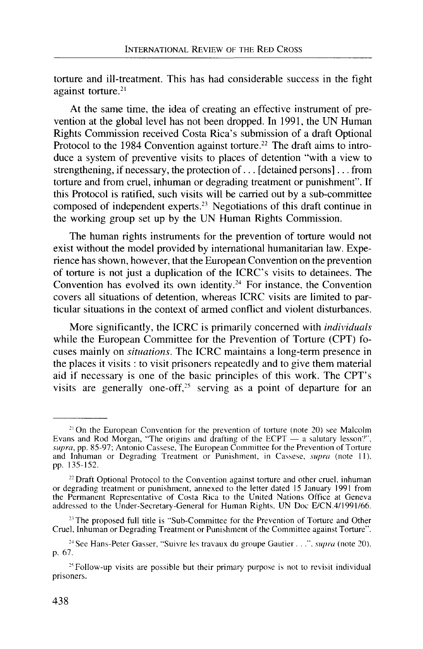torture and ill-treatment. This has had considerable success in the fight against torture.<sup>21</sup>

At the same time, the idea of creating an effective instrument of prevention at the global level has not been dropped. In 1991, the UN Human Rights Commission received Costa Rica's submission of a draft Optional Protocol to the 1984 Convention against torture.<sup>22</sup> The draft aims to introduce a system of preventive visits to places of detention "with a view to strengthening, if necessary, the protection of... [detained persons]... from torture and from cruel, inhuman or degrading treatment or punishment". If this Protocol is ratified, such visits will be carried out by a sub-committee composed of independent experts.<sup>23</sup> Negotiations of this draft continue in the working group set up by the UN Human Rights Commission.

The human rights instruments for the prevention of torture would not exist without the model provided by international humanitarian law. Experience has shown, however, that the European Convention on the prevention of torture is not just a duplication of the ICRC's visits to detainees. The Convention has evolved its own identity.<sup>24</sup> For instance, the Convention covers all situations of detention, whereas ICRC visits are limited to particular situations in the context of armed conflict and violent disturbances.

More significantly, the ICRC is primarily concerned with *individuals* while the European Committee for the Prevention of Torture (CPT) focuses mainly on *situations.* The ICRC maintains a long-term presence in the places it visits : to visit prisoners repeatedly and to give them material aid if necessary is one of the basic principles of this work. The CPT's visits are generally one-off,<sup>25</sup> serving as a point of departure for an

<sup>&</sup>lt;sup>21</sup> On the European Convention for the prevention of torture (note 20) see Malcolm Evans and Rod Morgan, "The origins and drafting of the ECPT — a salutary lesson?", *supra,* pp. 85-97; Antonio Cassese, The European Committee for the Prevention of Torture and Inhuman or Degrading Treatment or Punishment, in Cassese, *supra* (note 11). pp. 135-152.

 $22$  Draft Optional Protocol to the Convention against torture and other cruel, inhuman or degrading treatment or punishment, annexed to the letter dated 15 January 1991 from the Permanent Representative of Costa Rica to the United Nations Office at Geneva addressed to the Under-Secretary-General for Human Rights, UN Doc E/CN.4/1991/66.

<sup>&</sup>lt;sup>23</sup> The proposed full title is "Sub-Committee for the Prevention of Torture and Other Cruel, Inhuman or Degrading Treatment or Punishment of the Committee against Torture".

<sup>24</sup> See Hans-Peter Gasser, "Suivre les travaux du groupe Gautier . . .", *supra* (note 20). p. 67.

<sup>&</sup>lt;sup>25</sup> Follow-up visits are possible but their primary purpose is not to revisit individual prisoners.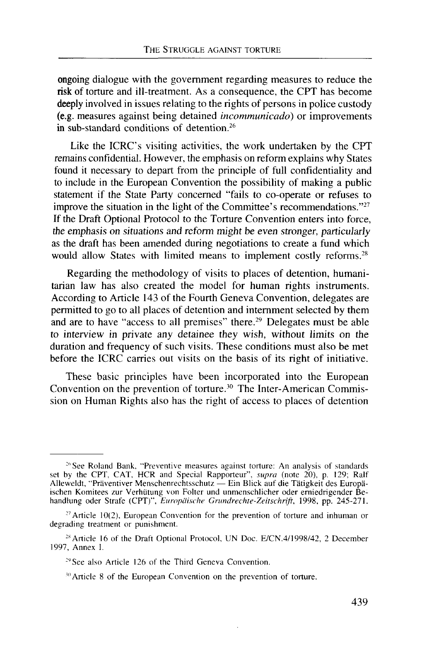ongoing dialogue with the government regarding measures to reduce the risk of torture and ill-treatment. As a consequence, the CPT has become deeply involved in issues relating to the rights of persons in police custody (e.g. measures against being detained *incommunicado)* or improvements in sub-standard conditions of detention.<sup>26</sup>

Like the ICRC's visiting activities, the work undertaken by the CPT remains confidential. However, the emphasis on reform explains why States found it necessary to depart from the principle of full confidentiality and to include in the European Convention the possibility of making a public statement if the State Party concerned "fails to co-operate or refuses to improve the situation in the light of the Committee's recommendations."<sup>27</sup> If the Draft Optional Protocol to the Torture Convention enters into force, the emphasis on situations and *reform might be even stronger, particularly* as the draft has been amended during negotiations to create a fund which would allow States with limited means to implement costly reforms.<sup>28</sup>

Regarding the methodology of visits to places of detention, humanitarian law has also created the model for human rights instruments. According to Article 143 of the Fourth Geneva Convention, delegates are permitted to go to all places of detention and internment selected by them and are to have "access to all premises" there.<sup>29</sup> Delegates must be able to interview in private any detainee they wish, without limits on the duration and frequency of such visits. These conditions must also be met before the ICRC carries out visits on the basis of its right of initiative.

These basic principles have been incorporated into the European Convention on the prevention of torture.<sup>30</sup> The Inter-American Commission on Human Rights also has the right of access to places of detention

<sup>&</sup>lt;sup>26</sup> See Roland Bank, "Preventive measures against torture: An analysis of standards set by the CPT, CAT, HCR and Special Rapporteur", *supra* (note 20), p. 129; Ralf Alleweldt, "Praventiver Menschenrechtsschutz — Ein Blick auf die Tatigkeit des Europaischen Komitees zur Verhiitung von Folter und unmenschlicher oder erniedrigender Behandlung oder Strafe (CPT)", *Europdische Grundrechte-Zeitschrift,* 1998, pp. 245-271.

 $27$  Article 10(2), European Convention for the prevention of torture and inhuman or degrading treatment or punishment.

<sup>&</sup>lt;sup>28</sup> Article 16 of the Draft Optional Protocol, UN Doc. E/CN.4/1998/42, 2 December 1997, Annex I.

<sup>&</sup>lt;sup>29</sup> See also Article 126 of the Third Geneva Convention.

<sup>&</sup>lt;sup>30</sup> Article 8 of the European Convention on the prevention of torture.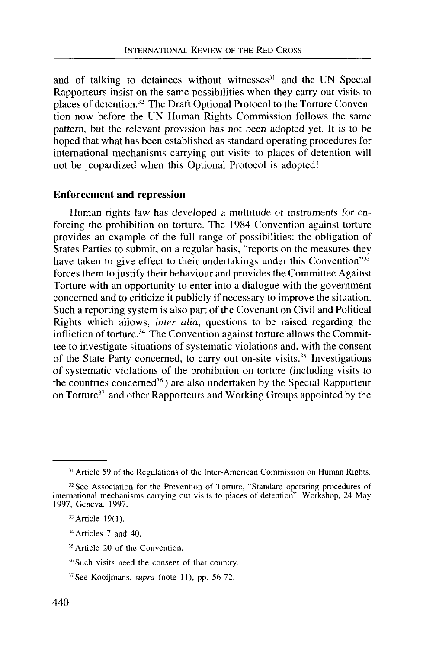and of talking to detainees without witnesses<sup>31</sup> and the UN Special Rapporteurs insist on the same possibilities when they carry out visits to places of detention.<sup>32</sup> The Draft Optional Protocol to the Torture Convention now before the UN Human Rights Commission follows the same pattern, but the relevant provision has not been adopted yet. It is to be hoped that what has been established as standard operating procedures for international mechanisms carrying out visits to places of detention will not be jeopardized when this Optional Protocol is adopted!

### **Enforcement and repression**

Human rights law has developed a multitude of instruments for enforcing the prohibition on torture. The 1984 Convention against torture provides an example of the full range of possibilities: the obligation of States Parties to submit, on a regular basis, "reports on the measures they have taken to give effect to their undertakings under this Convention"<sup>33</sup> forces them to justify their behaviour and provides the Committee Against Torture with an opportunity to enter into a dialogue with the government concerned and to criticize it publicly if necessary to improve the situation. Such a reporting system is also part of the Covenant on Civil and Political Rights which allows, *inter alia,* questions to be raised regarding the infliction of torture.<sup>34</sup> The Convention against torture allows the Committee to investigate situations of systematic violations and, with the consent of the State Party concerned, to carry out on-site visits.<sup>35</sup> Investigations of systematic violations of the prohibition on torture (including visits to the countries concerned<sup>36</sup>) are also undertaken by the Special Rapporteur on Torture<sup>37</sup> and other Rapporteurs and Working Groups appointed by the

- <sup>35</sup> Article 20 of the Convention.
- 36 Such visits need the consent of that country.
- 37 See Kooijmans, *supra* (note 11), pp. 56-72.

<sup>&</sup>lt;sup>31</sup> Article 59 of the Regulations of the Inter-American Commission on Human Rights.

<sup>32</sup> See Association for the Prevention of Torture, "Standard operating procedures of international mechanisms carrying out visits to places of detention", Workshop, 24 May 1997, Geneva, 1997.

 $33$  Article 19(1).

<sup>&</sup>lt;sup>34</sup> Articles 7 and 40.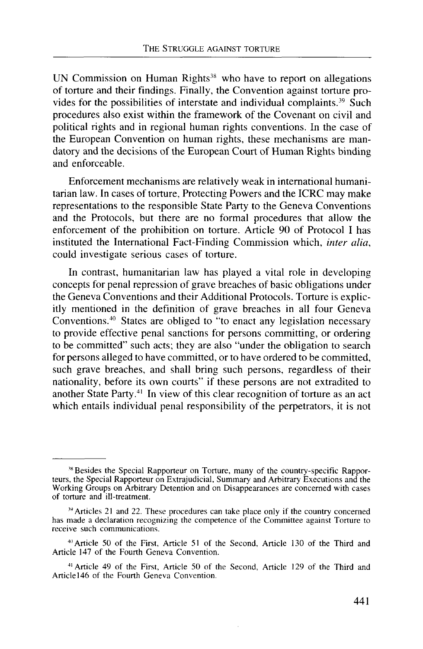UN Commission on Human Rights<sup>38</sup> who have to report on allegations of torture and their findings. Finally, the Convention against torture provides for the possibilities of interstate and individual complaints.<sup>39</sup> Such procedures also exist within the framework of the Covenant on civil and political rights and in regional human rights conventions. In the case of the European Convention on human rights, these mechanisms are mandatory and the decisions of the European Court of Human Rights binding and enforceable.

Enforcement mechanisms are relatively weak in international humanitarian law. In cases of torture, Protecting Powers and the ICRC may make representations to the responsible State Party to the Geneva Conventions and the Protocols, but there are no formal procedures that allow the enforcement of the prohibition on torture. Article 90 of Protocol I has instituted the International Fact-Finding Commission which, *inter alia,* could investigate serious cases of torture.

In contrast, humanitarian law has played a vital role in developing concepts for penal repression of grave breaches of basic obligations under the Geneva Conventions and their Additional Protocols. Torture is explicitly mentioned in the definition of grave breaches in all four Geneva Conventions.<sup>40</sup> States are obliged to "to enact any legislation necessary to provide effective penal sanctions for persons committing, or ordering to be committed" such acts; they are also "under the obligation to search for persons alleged to have committed, or to have ordered to be committed, such grave breaches, and shall bring such persons, regardless of their nationality, before its own courts" if these persons are not extradited to another State Party.<sup>41</sup> In view of this clear recognition of torture as an act which entails individual penal responsibility of the perpetrators, it is not

<sup>&</sup>lt;sup>38</sup> Besides the Special Rapporteur on Torture, many of the country-specific Rapporteurs, the Special Rapporteur on Extrajudicial, Summary and Arbitrary Executions and the Working Groups on Arbitrary Detention and on Disappearances are concerned with cases of torture and ill-treatment.

<sup>&</sup>lt;sup>39</sup> Articles 21 and 22. These procedures can take place only if the country concerned has made a declaration recognizing the competence of the Committee against Torture to receive such communications.

<sup>\*&#</sup>x27;Article 50 of the First, Article 51 of the Second, Article 130 of the Third and Article 147 of the Fourth Geneva Convention.

<sup>•&</sup>quot;Article 49 of the First, Article 50 of the Second, Article 129 of the Third and Article 146 of the Fourth Geneva Convention.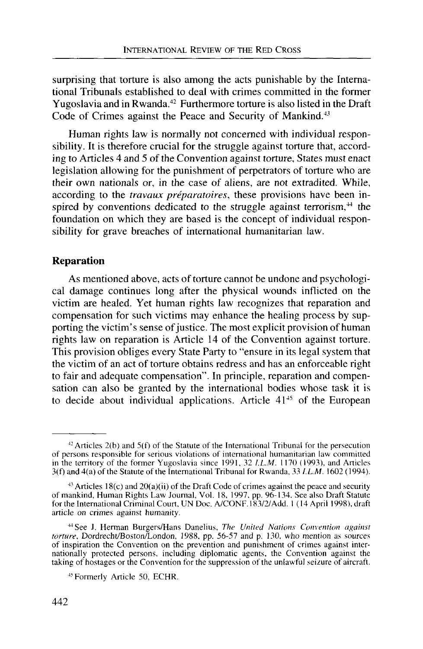surprising that torture is also among the acts punishable by the International Tribunals established to deal with crimes committed in the former Yugoslavia and in Rwanda.<sup>42</sup> Furthermore torture is also listed in the Draft Code of Crimes against the Peace and Security of Mankind.<sup>43</sup>

Human rights law is normally not concerned with individual responsibility. It is therefore crucial for the struggle against torture that, according to Articles 4 and 5 of the Convention against torture, States must enact legislation allowing for the punishment of perpetrators of torture who are their own nationals or, in the case of aliens, are not extradited. While, according to the *travaux preparatoires,* these provisions have been inspired by conventions dedicated to the struggle against terrorism,<sup>44</sup> the foundation on which they are based is the concept of individual responsibility for grave breaches of international humanitarian law.

## **Reparation**

As mentioned above, acts of torture cannot be undone and psychological damage continues long after the physical wounds inflicted on the victim are healed. Yet human rights law recognizes that reparation and compensation for such victims may enhance the healing process by supporting the victim's sense of justice. The most explicit provision of human rights law on reparation is Article 14 of the Convention against torture. This provision obliges every State Party to "ensure in its legal system that the victim of an act of torture obtains redress and has an enforceable right to fair and adequate compensation". In principle, reparation and compensation can also be granted by the international bodies whose task it is to decide about individual applications. Article  $41<sup>45</sup>$  of the European

 $42$  Articles 2(b) and 5(f) of the Statute of the International Tribunal for the persecution of persons responsible for serious violations of international humanitarian law committed in the territory of the former Yugoslavia since 1991, 32 *I.L.M.* 1170 (1993), and Anicles 3(f) and 4(a) of the Statute of the International Tribunal for Rwanda, 33 *l.L.M.* 1602 (1994).

 $43$  Articles 18(c) and 20(a)(ii) of the Draft Code of crimes against the peace and security of mankind, Human Rights Law Journal, Vol. 18, 1997. pp. 96-134. See also Draft Statute for the International Criminal Court, UN Doc. A/CONF. 183/2/Add. 1 (14 April 1998), draft article on crimes against humanity.

<sup>•&</sup>quot;See J. Herman Burgers/Hans Danelius, *The United Nations Convention against torture,* Dordrecht/Boston/London, 1988, pp. 56-57 and p. 130, who mention as sources of inspiration the Convention on the prevention and punishment of crimes against internationally protected persons, including diplomatic agents, the Convention against the taking of hostages or the Convention for the suppression of the unlawful seizure of aircraft.

<sup>&</sup>lt;sup>45</sup> Formerly Article 50, ECHR. Formerly Article 50, ECHR.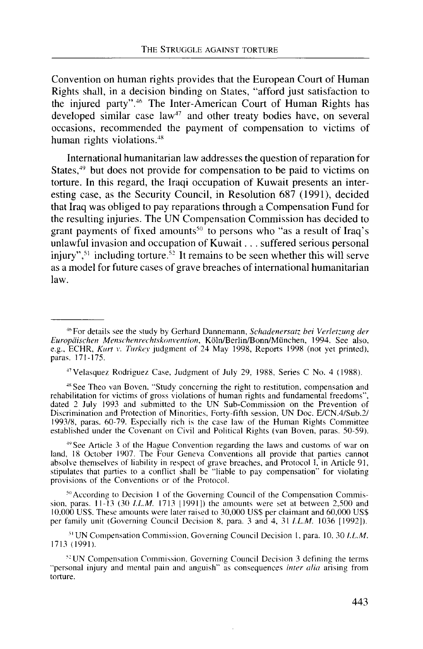Convention on human rights provides that the European Court of Human Rights shall, in a decision binding on States, "afford just satisfaction to the injured party".<sup>46</sup> The Inter-American Court of Human Rights has developed similar case law<sup>47</sup> and other treaty bodies have, on several occasions, recommended the payment of compensation to victims of human rights violations.<sup>48</sup>

International humanitarian law addresses the question of reparation for States,<sup>49</sup> but does not provide for compensation to be paid to victims on torture. In this regard, the Iraqi occupation of Kuwait presents an interesting case, as the Security Council, in Resolution 687 (1991), decided that Iraq was obliged to pay reparations through a Compensation Fund for the resulting injuries. The UN Compensation Commission has decided to grant payments of fixed amounts<sup>50</sup> to persons who "as a result of Iraq's unlawful invasion and occupation of Kuwait. . . suffered serious personal injury",<sup>51</sup> including torture.<sup>52</sup> It remains to be seen whether this will serve as a model for future cases of grave breaches of international humanitarian law.

47Velasquez Rodriguez Case, Judgment of July 29, 1988, Series C No. 4 (1988).

•"\* See Theo van Boven, "Study concerning the right to restitution, compensation and rehabilitation for victims of gross violations of human rights and fundamental freedoms", dated 2 July 1993 and submitted to the UN Sub-Commission on the Prevention of Discrimination and Protection of Minorities, Forty-fifth session, UN Doc. E/CN.4/Sub.2/ 1993/8, paras. 60-79. Especially rich is the case law of the Human Rights Committee established under the Covenant on Civil and Political Rights (van Boven, paras. 50-59).

49 See Article 3 of the Hague Convention regarding the laws and customs of war on land, 18 October 1907. The Four Geneva Conventions all provide that parties cannot absolve themselves of liability in respect of grave breaches, and Protocol I, in Article 91, stipulates that parties to a conflict shall be "liable to pay compensation" for violating provisions of the Conventions or of the Protocol.

<sup>50</sup> According to Decision 1 of the Governing Council of the Compensation Commission, paras. 11-13 (30 *I.L.M.* 1713 11991]) the amounts were set at between 2,500 and 10.000 USS. These amounts were later raised to 30,000 USS per claimant and 60,000 US\$ per family unit (Governing Council Decision 8, para. 3 and 4, 31 *I.L.M.* 1036 [1992]).

51 UN Compensation Commission, Governing Council Decision 1, para. 10, 30 *I.L.M.* 1713 (1991).

5:UN Compensation Commission, Governing Council Decision 3 defining the terms "personal injury and mental pain and anguish" as consequences *inter alia* arising from torture.

<sup>\*</sup>For details see the study by Gerhard Dannemann, *Schadenersatz. bei Verletzung der Europaischen Menschenrechtskonvention,* Koln/Berlin/Bonn/Miinchen, 1994. See also, e.g., ECHR, *Kurt v. Turkey* judgment of 24 May 1998, Reports 1998 (not yet printed), paras. 171-175.